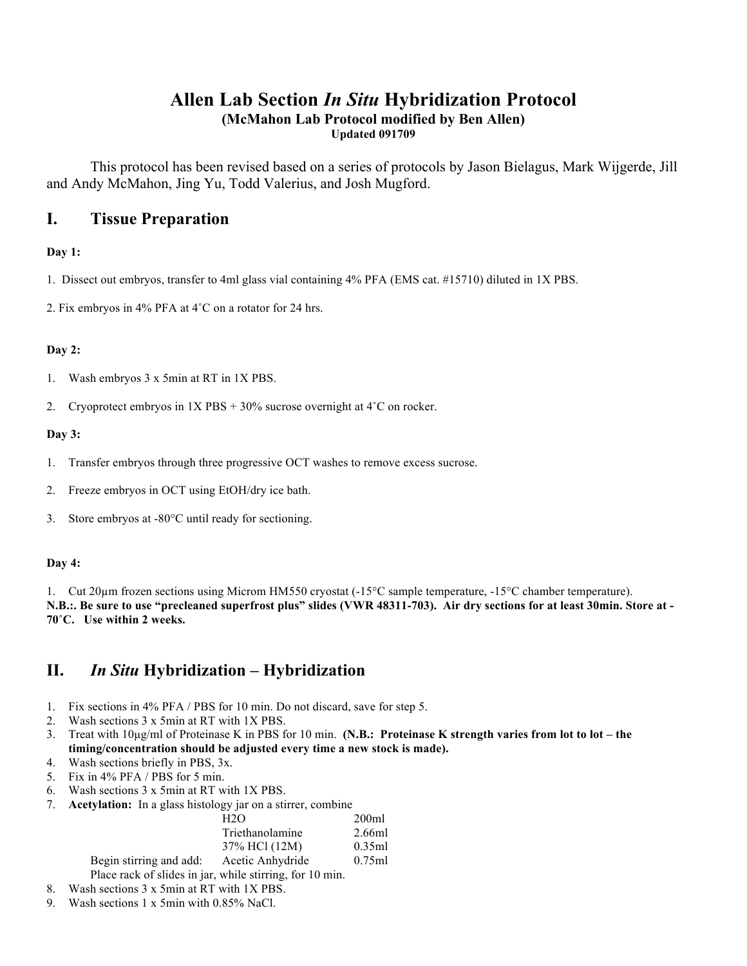# **Allen Lab Section** *In Situ* **Hybridization Protocol (McMahon Lab Protocol modified by Ben Allen) Updated 091709**

This protocol has been revised based on a series of protocols by Jason Bielagus, Mark Wijgerde, Jill and Andy McMahon, Jing Yu, Todd Valerius, and Josh Mugford.

# **I. Tissue Preparation**

### **Day 1:**

- 1. Dissect out embryos, transfer to 4ml glass vial containing 4% PFA (EMS cat. #15710) diluted in 1X PBS.
- 2. Fix embryos in 4% PFA at 4˚C on a rotator for 24 hrs.

### **Day 2:**

- 1. Wash embryos 3 x 5min at RT in 1X PBS.
- 2. Cryoprotect embryos in 1X PBS + 30% sucrose overnight at 4˚C on rocker.

### **Day 3:**

- 1. Transfer embryos through three progressive OCT washes to remove excess sucrose.
- 2. Freeze embryos in OCT using EtOH/dry ice bath.
- 3. Store embryos at -80°C until ready for sectioning.

### **Day 4:**

1. Cut 20µm frozen sections using Microm HM550 cryostat (-15°C sample temperature, -15°C chamber temperature). **N.B.:. Be sure to use "precleaned superfrost plus" slides (VWR 48311-703). Air dry sections for at least 30min. Store at - 70˚C. Use within 2 weeks.**

# **II.** *In Situ* **Hybridization – Hybridization**

- 1. Fix sections in 4% PFA / PBS for 10 min. Do not discard, save for step 5.
- 2. Wash sections 3 x 5min at RT with 1X PBS.
- 3. Treat with 10µg/ml of Proteinase K in PBS for 10 min. **(N.B.: Proteinase K strength varies from lot to lot the timing/concentration should be adjusted every time a new stock is made).**
- 4. Wash sections briefly in PBS, 3x.
- 5. Fix in 4% PFA / PBS for 5 min.
- 6. Wash sections 3 x 5min at RT with 1X PBS.
- 7. **Acetylation:** In a glass histology jar on a stirrer, combine

|                                                          | H2O              | 200ml  |
|----------------------------------------------------------|------------------|--------|
|                                                          | Triethanolamine  | 2.66ml |
|                                                          | 37% HCl (12M)    | 0.35ml |
| Begin stirring and add:                                  | Acetic Anhydride | 0.75ml |
| Place rack of slides in jar, while stirring, for 10 min. |                  |        |

- 8. Wash sections 3 x 5min at RT with 1X PBS.
- 9. Wash sections 1 x 5min with 0.85% NaCl.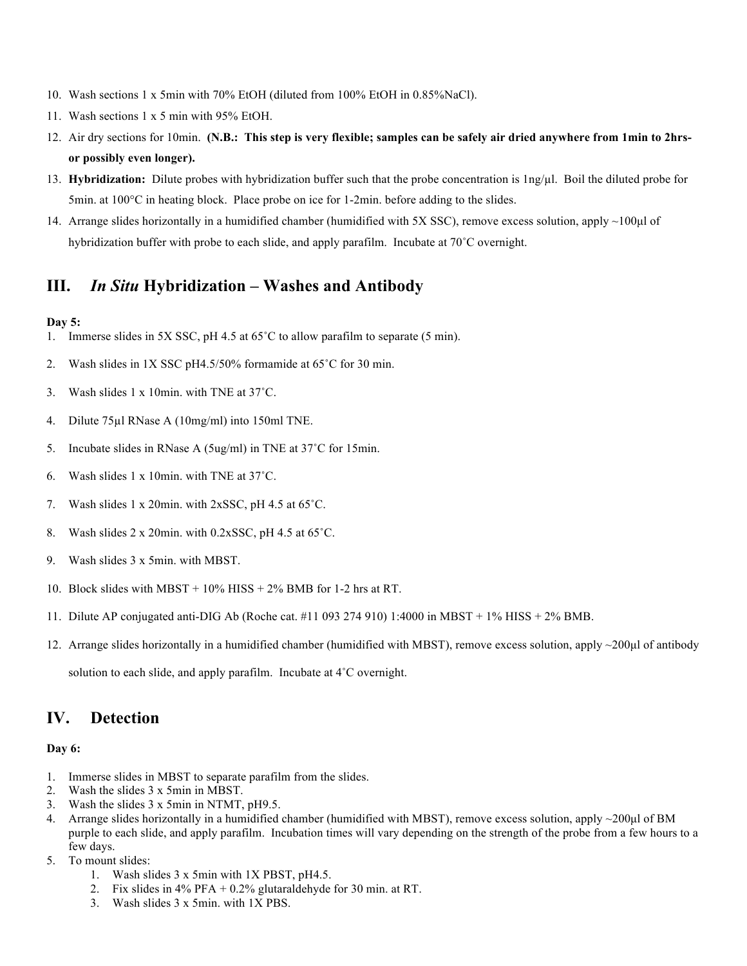- 10. Wash sections 1 x 5min with 70% EtOH (diluted from 100% EtOH in 0.85%NaCl).
- 11. Wash sections 1 x 5 min with 95% EtOH.
- 12. Air dry sections for 10min. **(N.B.: This step is very flexible; samples can be safely air dried anywhere from 1min to 2hrsor possibly even longer).**
- 13. **Hybridization:** Dilute probes with hybridization buffer such that the probe concentration is 1ng/µl. Boil the diluted probe for 5min. at 100°C in heating block. Place probe on ice for 1-2min. before adding to the slides.
- 14. Arrange slides horizontally in a humidified chamber (humidified with 5X SSC), remove excess solution, apply ~100µl of hybridization buffer with probe to each slide, and apply parafilm. Incubate at 70˚C overnight.

# **III.** *In Situ* **Hybridization – Washes and Antibody**

#### **Day 5:**

- 1. Immerse slides in 5X SSC, pH 4.5 at 65˚C to allow parafilm to separate (5 min).
- 2. Wash slides in 1X SSC pH4.5/50% formamide at 65˚C for 30 min.
- 3. Wash slides 1 x 10min. with TNE at 37˚C.
- 4. Dilute 75µl RNase A (10mg/ml) into 150ml TNE.
- 5. Incubate slides in RNase A (5ug/ml) in TNE at 37˚C for 15min.
- 6. Wash slides 1 x 10min. with TNE at 37˚C.
- 7. Wash slides 1 x 20min. with 2xSSC, pH 4.5 at 65˚C.
- 8. Wash slides 2 x 20min. with 0.2xSSC, pH 4.5 at 65˚C.
- 9. Wash slides 3 x 5min. with MBST.
- 10. Block slides with MBST + 10% HISS + 2% BMB for 1-2 hrs at RT.
- 11. Dilute AP conjugated anti-DIG Ab (Roche cat. #11 093 274 910) 1:4000 in MBST + 1% HISS + 2% BMB.
- 12. Arrange slides horizontally in a humidified chamber (humidified with MBST), remove excess solution, apply ~200µl of antibody

solution to each slide, and apply parafilm. Incubate at 4˚C overnight.

# **IV. Detection**

#### **Day 6:**

- 1. Immerse slides in MBST to separate parafilm from the slides.
- 2. Wash the slides 3 x 5min in MBST.
- 3. Wash the slides 3 x 5min in NTMT, pH9.5.
- 4. Arrange slides horizontally in a humidified chamber (humidified with MBST), remove excess solution, apply ~200µl of BM purple to each slide, and apply parafilm. Incubation times will vary depending on the strength of the probe from a few hours to a few days.
- 5. To mount slides:
	- 1. Wash slides 3 x 5min with 1X PBST, pH4.5.
	- 2. Fix slides in 4% PFA + 0.2% glutaraldehyde for 30 min. at RT.
	- 3. Wash slides 3 x 5min. with 1X PBS.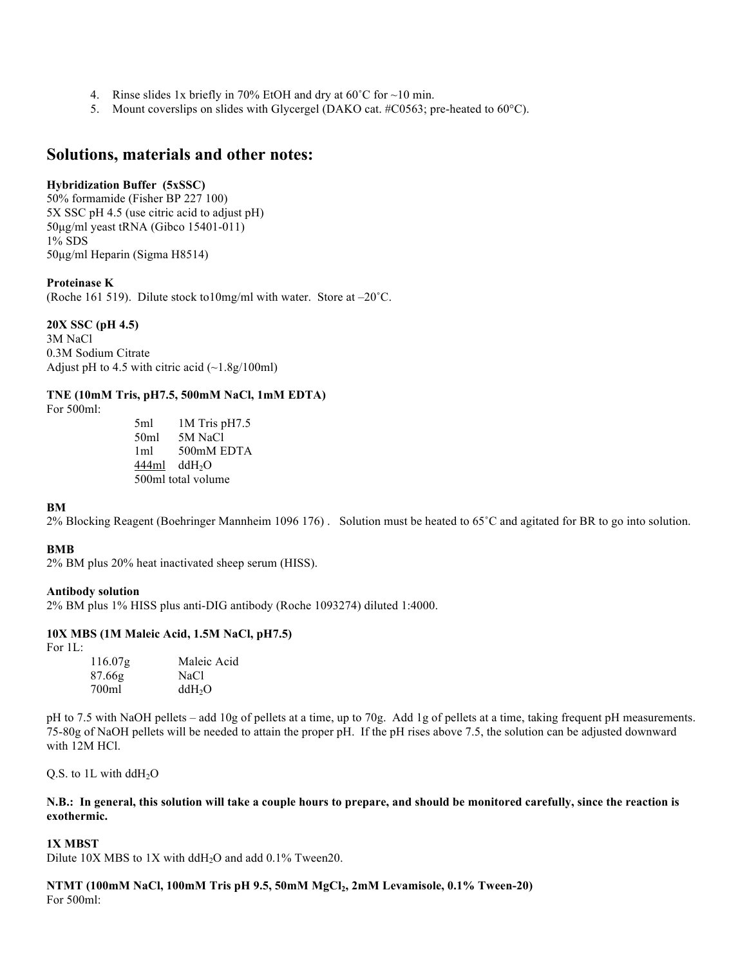- 4. Rinse slides 1x briefly in 70% EtOH and dry at 60˚C for ~10 min.
- 5. Mount coverslips on slides with Glycergel (DAKO cat. #C0563; pre-heated to 60°C).

# **Solutions, materials and other notes:**

#### **Hybridization Buffer (5xSSC)**

50% formamide (Fisher BP 227 100) 5X SSC pH 4.5 (use citric acid to adjust pH) 50µg/ml yeast tRNA (Gibco 15401-011) 1% SDS 50µg/ml Heparin (Sigma H8514)

#### **Proteinase K**

(Roche 161 519). Dilute stock to10mg/ml with water. Store at –20˚C.

#### **20X SSC (pH 4.5)**

3M NaCl 0.3M Sodium Citrate Adjust pH to 4.5 with citric acid  $(-1.8g/100ml)$ 

#### **TNE (10mM Tris, pH7.5, 500mM NaCl, 1mM EDTA)**

For 500ml:

5ml 1M Tris pH7.5 50ml 5M NaCl 1ml 500mM EDTA  $444ml$  ddH<sub>2</sub>O 500ml total volume

#### **BM**

2% Blocking Reagent (Boehringer Mannheim 1096 176) . Solution must be heated to 65˚C and agitated for BR to go into solution.

#### **BMB**

2% BM plus 20% heat inactivated sheep serum (HISS).

#### **Antibody solution**

2% BM plus 1% HISS plus anti-DIG antibody (Roche 1093274) diluted 1:4000.

#### **10X MBS (1M Maleic Acid, 1.5M NaCl, pH7.5)**

For 1L:

| 116.07 <sub>g</sub> | Maleic Acid        |
|---------------------|--------------------|
| 87.66g              | NaCl               |
| 700ml               | ddH <sub>2</sub> O |

pH to 7.5 with NaOH pellets – add 10g of pellets at a time, up to 70g. Add 1g of pellets at a time, taking frequent pH measurements. 75-80g of NaOH pellets will be needed to attain the proper pH. If the pH rises above 7.5, the solution can be adjusted downward with 12M HCl.

Q.S. to  $1L$  with ddH<sub>2</sub>O

#### **N.B.: In general, this solution will take a couple hours to prepare, and should be monitored carefully, since the reaction is exothermic.**

#### **1X MBST**

Dilute 10X MBS to 1X with ddH<sub>2</sub>O and add 0.1% Tween20.

**NTMT (100mM NaCl, 100mM Tris pH 9.5, 50mM MgCl2, 2mM Levamisole, 0.1% Tween-20)** For 500ml: